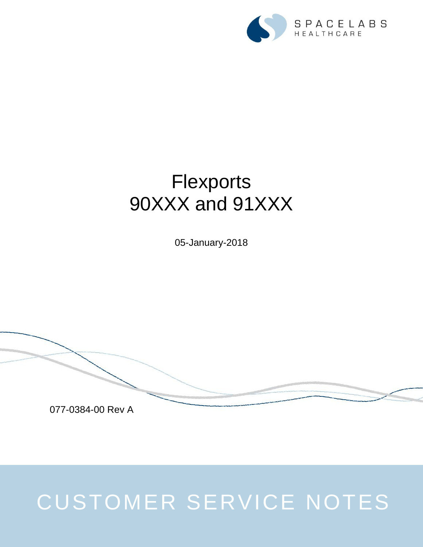

## **Flexports** 90XXX and 91XXX

05-January-2018



## CUSTOMER SERVICE NOTES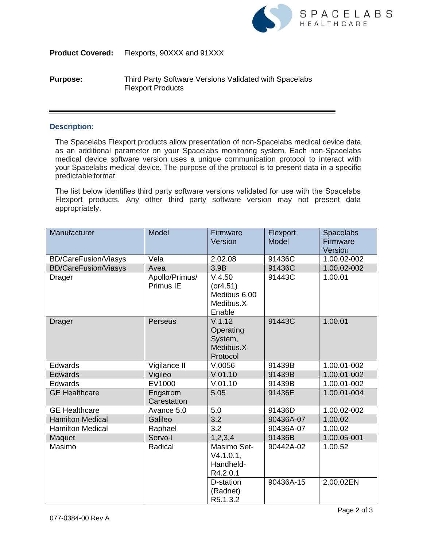

**Product Covered:** Flexports, 90XXX and 91XXX

## **Purpose:** Third Party Software Versions Validated with Spacelabs Flexport Products

## **Description:**

The Spacelabs Flexport products allow presentation of non-Spacelabs medical device data as an additional parameter on your Spacelabs monitoring system. Each non-Spacelabs medical device software version uses a unique communication protocol to interact with your Spacelabs medical device. The purpose of the protocol is to present data in a specific predictable format.

The list below identifies third party software versions validated for use with the Spacelabs Flexport products. Any other third party software version may not present data appropriately.

| Manufacturer                | Model                       | Firmware<br>Version                                        | Flexport<br><b>Model</b> | <b>Spacelabs</b><br>Firmware<br>Version |
|-----------------------------|-----------------------------|------------------------------------------------------------|--------------------------|-----------------------------------------|
| <b>BD/CareFusion/Viasys</b> | Vela                        | 2.02.08                                                    | 91436C                   | 1.00.02-002                             |
| <b>BD/CareFusion/Viasys</b> | Avea                        | 3.9B                                                       | 91436C                   | 1.00.02-002                             |
| Drager                      | Apollo/Primus/<br>Primus IE | V.4.50<br>(or 4.51)<br>Medibus 6.00<br>Medibus.X<br>Enable | 91443C                   | 1.00.01                                 |
| <b>Drager</b>               | Perseus                     | V.1.12<br>Operating<br>System,<br>Medibus.X<br>Protocol    | 91443C                   | 1.00.01                                 |
| Edwards                     | Vigilance II                | V.0056                                                     | 91439B                   | 1.00.01-002                             |
| Edwards                     | Vigileo                     | V.01.10                                                    | 91439B                   | 1.00.01-002                             |
| Edwards                     | EV1000                      | V.01.10                                                    | 91439B                   | 1.00.01-002                             |
| <b>GE Healthcare</b>        | Engstrom<br>Carestation     | 5.05                                                       | 91436E                   | 1.00.01-004                             |
| <b>GE Healthcare</b>        | Avance 5.0                  | 5.0                                                        | 91436D                   | 1.00.02-002                             |
| <b>Hamilton Medical</b>     | Galileo                     | $\overline{3.2}$                                           | 90436A-07                | 1.00.02                                 |
| <b>Hamilton Medical</b>     | Raphael                     | 3.2                                                        | 90436A-07                | 1.00.02                                 |
| Maquet                      | Servo-I                     | 1, 2, 3, 4                                                 | 91436B                   | 1.00.05-001                             |
| Masimo                      | Radical                     | Masimo Set-<br>$V4.1.0.1$ ,<br>Handheld-<br>R4.2.0.1       | 90442A-02                | 1.00.52                                 |
|                             |                             | D-station<br>(Radnet)<br>R5.1.3.2                          | 90436A-15                | 2.00.02EN                               |